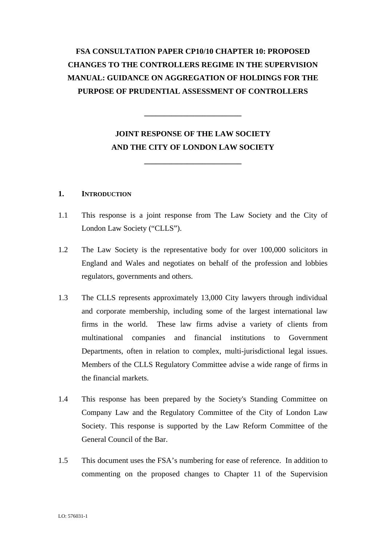# **FSA CONSULTATION PAPER CP10/10 CHAPTER 10: PROPOSED CHANGES TO THE CONTROLLERS REGIME IN THE SUPERVISION MANUAL: GUIDANCE ON AGGREGATION OF HOLDINGS FOR THE PURPOSE OF PRUDENTIAL ASSESSMENT OF CONTROLLERS**

# **JOINT RESPONSE OF THE LAW SOCIETY AND THE CITY OF LONDON LAW SOCIETY**

**\_\_\_\_\_\_\_\_\_\_\_\_\_\_\_\_\_\_\_\_\_\_\_\_\_** 

**\_\_\_\_\_\_\_\_\_\_\_\_\_\_\_\_\_\_\_\_\_\_\_\_\_** 

#### **1. INTRODUCTION**

- 1.1 This response is a joint response from The Law Society and the City of London Law Society ("CLLS").
- 1.2 The Law Society is the representative body for over 100,000 solicitors in England and Wales and negotiates on behalf of the profession and lobbies regulators, governments and others.
- 1.3 The CLLS represents approximately 13,000 City lawyers through individual and corporate membership, including some of the largest international law firms in the world. These law firms advise a variety of clients from multinational companies and financial institutions to Government Departments, often in relation to complex, multi-jurisdictional legal issues. Members of the CLLS Regulatory Committee advise a wide range of firms in the financial markets.
- 1.4 This response has been prepared by the Society's Standing Committee on Company Law and the Regulatory Committee of the City of London Law Society. This response is supported by the Law Reform Committee of the General Council of the Bar.
- 1.5 This document uses the FSA's numbering for ease of reference. In addition to commenting on the proposed changes to Chapter 11 of the Supervision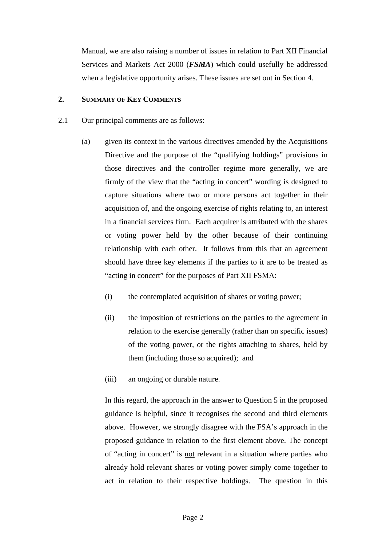Manual, we are also raising a number of issues in relation to Part XII Financial Services and Markets Act 2000 (*FSMA*) which could usefully be addressed when a legislative opportunity arises. These issues are set out in Section 4.

# **2. SUMMARY OF KEY COMMENTS**

- 2.1 Our principal comments are as follows:
	- (a) given its context in the various directives amended by the Acquisitions Directive and the purpose of the "qualifying holdings" provisions in those directives and the controller regime more generally, we are firmly of the view that the "acting in concert" wording is designed to capture situations where two or more persons act together in their acquisition of, and the ongoing exercise of rights relating to, an interest in a financial services firm. Each acquirer is attributed with the shares or voting power held by the other because of their continuing relationship with each other. It follows from this that an agreement should have three key elements if the parties to it are to be treated as "acting in concert" for the purposes of Part XII FSMA:
		- (i) the contemplated acquisition of shares or voting power;
		- (ii) the imposition of restrictions on the parties to the agreement in relation to the exercise generally (rather than on specific issues) of the voting power, or the rights attaching to shares, held by them (including those so acquired); and
		- (iii) an ongoing or durable nature.

In this regard, the approach in the answer to Question 5 in the proposed guidance is helpful, since it recognises the second and third elements above. However, we strongly disagree with the FSA's approach in the proposed guidance in relation to the first element above. The concept of "acting in concert" is not relevant in a situation where parties who already hold relevant shares or voting power simply come together to act in relation to their respective holdings. The question in this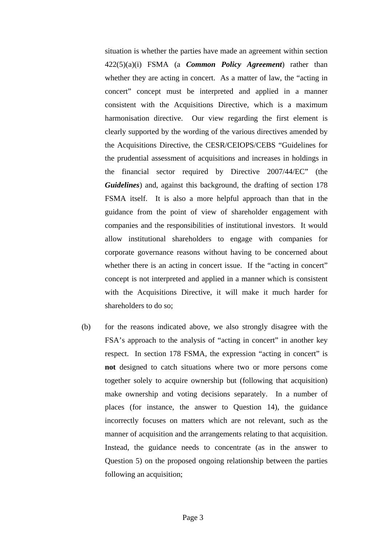situation is whether the parties have made an agreement within section 422(5)(a)(i) FSMA (a *Common Policy Agreement*) rather than whether they are acting in concert. As a matter of law, the "acting in concert" concept must be interpreted and applied in a manner consistent with the Acquisitions Directive, which is a maximum harmonisation directive. Our view regarding the first element is clearly supported by the wording of the various directives amended by the Acquisitions Directive, the CESR/CEIOPS/CEBS "Guidelines for the prudential assessment of acquisitions and increases in holdings in the financial sector required by Directive 2007/44/EC" (the *Guidelines*) and, against this background, the drafting of section 178 FSMA itself. It is also a more helpful approach than that in the guidance from the point of view of shareholder engagement with companies and the responsibilities of institutional investors. It would allow institutional shareholders to engage with companies for corporate governance reasons without having to be concerned about whether there is an acting in concert issue. If the "acting in concert" concept is not interpreted and applied in a manner which is consistent with the Acquisitions Directive, it will make it much harder for shareholders to do so;

(b) for the reasons indicated above, we also strongly disagree with the FSA's approach to the analysis of "acting in concert" in another key respect. In section 178 FSMA, the expression "acting in concert" is **not** designed to catch situations where two or more persons come together solely to acquire ownership but (following that acquisition) make ownership and voting decisions separately. In a number of places (for instance, the answer to Question 14), the guidance incorrectly focuses on matters which are not relevant, such as the manner of acquisition and the arrangements relating to that acquisition. Instead, the guidance needs to concentrate (as in the answer to Question 5) on the proposed ongoing relationship between the parties following an acquisition;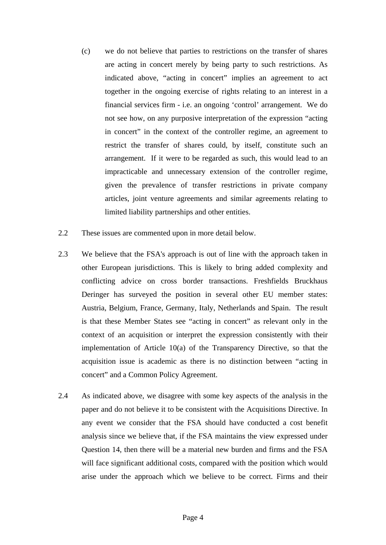- (c) we do not believe that parties to restrictions on the transfer of shares are acting in concert merely by being party to such restrictions. As indicated above, "acting in concert" implies an agreement to act together in the ongoing exercise of rights relating to an interest in a financial services firm - i.e. an ongoing 'control' arrangement. We do not see how, on any purposive interpretation of the expression "acting in concert" in the context of the controller regime, an agreement to restrict the transfer of shares could, by itself, constitute such an arrangement. If it were to be regarded as such, this would lead to an impracticable and unnecessary extension of the controller regime, given the prevalence of transfer restrictions in private company articles, joint venture agreements and similar agreements relating to limited liability partnerships and other entities.
- 2.2 These issues are commented upon in more detail below.
- <span id="page-3-0"></span>2.3 We believe that the FSA's approach is out of line with the approach taken in other European jurisdictions. This is likely to bring added complexity and conflicting advice on cross border transactions. Freshfields Bruckhaus Deringer has surveyed the position in several other EU member states: Austria, Belgium, France, Germany, Italy, Netherlands and Spain. The result is that these Member States see "acting in concert" as relevant only in the context of an acquisition or interpret the expression consistently with their implementation of Article 10(a) of the Transparency Directive, so that the acquisition issue is academic as there is no distinction between "acting in concert" and a Common Policy Agreement.
- 2.4 As indicated above, we disagree with some key aspects of the analysis in the paper and do not believe it to be consistent with the Acquisitions Directive. In any event we consider that the FSA should have conducted a cost benefit analysis since we believe that, if the FSA maintains the view expressed under Question 14, then there will be a material new burden and firms and the FSA will face significant additional costs, compared with the position which would arise under the approach which we believe to be correct. Firms and their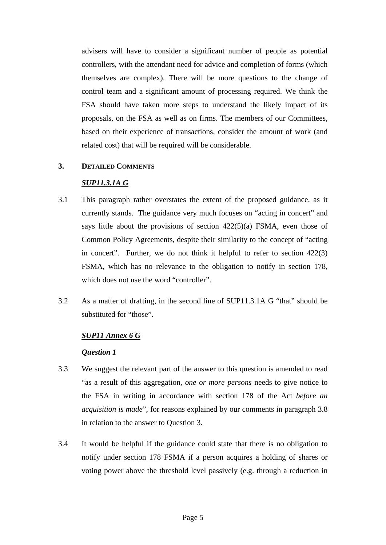advisers will have to consider a significant number of people as potential controllers, with the attendant need for advice and completion of forms (which themselves are complex). There will be more questions to the change of control team and a significant amount of processing required. We think the FSA should have taken more steps to understand the likely impact of its proposals, on the FSA as well as on firms. The members of our Committees, based on their experience of transactions, consider the amount of work (and related cost) that will be required will be considerable.

# **3. DETAILED COMMENTS**

# *SUP11.3.1A G*

- <span id="page-4-0"></span>3.1 This paragraph rather overstates the extent of the proposed guidance, as it currently stands. The guidance very much focuses on "acting in concert" and says little about the provisions of section  $422(5)(a)$  FSMA, even those of Common Policy Agreements, despite their similarity to the concept of "acting in concert". Further, we do not think it helpful to refer to section 422(3) FSMA, which has no relevance to the obligation to notify in section 178, which does not use the word "controller".
- 3.2 As a matter of drafting, in the second line of SUP11.3.1A G "that" should be substituted for "those".

# *SUP11 Annex 6 G*

- 3.3 We suggest the relevant part of the answer to this question is amended to read "as a result of this aggregation, *one or more persons* needs to give notice to the FSA in writing in accordance with section 178 of the Act *before an acquisition is made*", for reasons explained by our comments in paragraph [3.8](#page-7-0)  in relation to the answer to Question 3.
- 3.4 It would be helpful if the guidance could state that there is no obligation to notify under section 178 FSMA if a person acquires a holding of shares or voting power above the threshold level passively (e.g. through a reduction in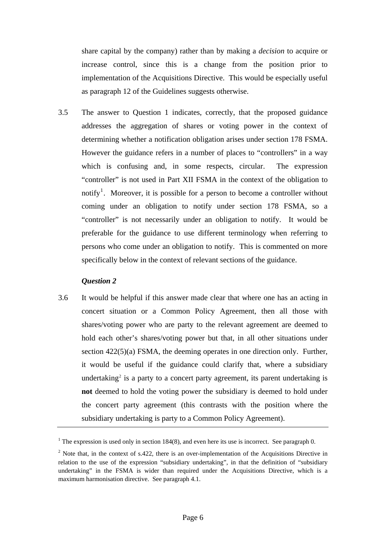share capital by the company) rather than by making a *decision* to acquire or increase control, since this is a change from the position prior to implementation of the Acquisitions Directive. This would be especially useful as paragraph 12 of the Guidelines suggests otherwise.

<span id="page-5-2"></span>3.5 The answer to Question 1 indicates, correctly, that the proposed guidance addresses the aggregation of shares or voting power in the context of determining whether a notification obligation arises under section 178 FSMA. However the guidance refers in a number of places to "controllers" in a way which is confusing and, in some respects, circular. The expression "controller" is not used in Part XII FSMA in the context of the obligation to notify<sup>[1](#page-5-0)</sup>. Moreover, it is possible for a person to become a controller without coming under an obligation to notify under section 178 FSMA, so a "controller" is not necessarily under an obligation to notify. It would be preferable for the guidance to use different terminology when referring to persons who come under an obligation to notify. This is commented on more specifically below in the context of relevant sections of the guidance.

## *Question 2*

3.6 It would be helpful if this answer made clear that where one has an acting in concert situation or a Common Policy Agreement, then all those with shares/voting power who are party to the relevant agreement are deemed to hold each other's shares/voting power but that, in all other situations under section 422(5)(a) FSMA, the deeming operates in one direction only. Further, it would be useful if the guidance could clarify that, where a subsidiary undertaking<sup>[2](#page-5-1)</sup> is a party to a concert party agreement, its parent undertaking is **not** deemed to hold the voting power the subsidiary is deemed to hold under the concert party agreement (this contrasts with the position where the subsidiary undertaking is party to a Common Policy Agreement).

<span id="page-5-0"></span><sup>&</sup>lt;sup>1</sup> The expression is used only in section 184(8), and even here its use is incorrect. See paragraph 0.

<span id="page-5-1"></span><sup>&</sup>lt;sup>2</sup> Note that, in the context of s.422, there is an over-implementation of the Acquisitions Directive in relation to the use of the expression "subsidiary undertaking", in that the definition of "subsidiary undertaking" in the FSMA is wider than required under the Acquisitions Directive, which is a maximum harmonisation directive. See paragraph 4.1.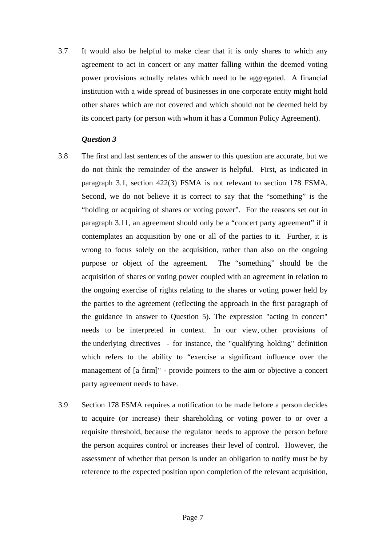3.7 It would also be helpful to make clear that it is only shares to which any agreement to act in concert or any matter falling within the deemed voting power provisions actually relates which need to be aggregated. A financial institution with a wide spread of businesses in one corporate entity might hold other shares which are not covered and which should not be deemed held by its concert party (or person with whom it has a Common Policy Agreement).

- 3.8 The first and last sentences of the answer to this question are accurate, but we do not think the remainder of the answer is helpful. First, as indicated in paragraph [3.1,](#page-4-0) section 422(3) FSMA is not relevant to section 178 FSMA. Second, we do not believe it is correct to say that the "something" is the "holding or acquiring of shares or voting power". For the reasons set out in paragraph [3.11](#page-7-1), an agreement should only be a "concert party agreement" if it contemplates an acquisition by one or all of the parties to it. Further, it is wrong to focus solely on the acquisition, rather than also on the ongoing purpose or object of the agreement. The "something" should be the acquisition of shares or voting power coupled with an agreement in relation to the ongoing exercise of rights relating to the shares or voting power held by the parties to the agreement (reflecting the approach in the first paragraph of the guidance in answer to Question 5). The expression "acting in concert" needs to be interpreted in context. In our view, other provisions of the underlying directives - for instance, the "qualifying holding" definition which refers to the ability to "exercise a significant influence over the management of [a firm]" - provide pointers to the aim or objective a concert party agreement needs to have.
- 3.9 Section 178 FSMA requires a notification to be made before a person decides to acquire (or increase) their shareholding or voting power to or over a requisite threshold, because the regulator needs to approve the person before the person acquires control or increases their level of control. However, the assessment of whether that person is under an obligation to notify must be by reference to the expected position upon completion of the relevant acquisition,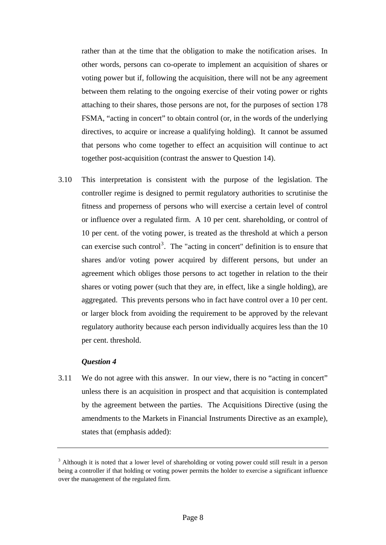rather than at the time that the obligation to make the notification arises. In other words, persons can co-operate to implement an acquisition of shares or voting power but if, following the acquisition, there will not be any agreement between them relating to the ongoing exercise of their voting power or rights attaching to their shares, those persons are not, for the purposes of section 178 FSMA, "acting in concert" to obtain control (or, in the words of the underlying directives, to acquire or increase a qualifying holding). It cannot be assumed that persons who come together to effect an acquisition will continue to act together post-acquisition (contrast the answer to Question 14).

<span id="page-7-0"></span>3.10 This interpretation is consistent with the purpose of the legislation. The controller regime is designed to permit regulatory authorities to scrutinise the fitness and properness of persons who will exercise a certain level of control or influence over a regulated firm. A 10 per cent. shareholding, or control of 10 per cent. of the voting power, is treated as the threshold at which a person can exercise such control<sup>[3](#page-7-2)</sup>. The "acting in concert" definition is to ensure that shares and/or voting power acquired by different persons, but under an agreement which obliges those persons to act together in relation to the their shares or voting power (such that they are, in effect, like a single holding), are aggregated. This prevents persons who in fact have control over a 10 per cent. or larger block from avoiding the requirement to be approved by the relevant regulatory authority because each person individually acquires less than the 10 per cent. threshold.

## *Question 4*

<span id="page-7-1"></span>3.11 We do not agree with this answer. In our view, there is no "acting in concert" unless there is an acquisition in prospect and that acquisition is contemplated by the agreement between the parties. The Acquisitions Directive (using the amendments to the Markets in Financial Instruments Directive as an example), states that (emphasis added):

<span id="page-7-2"></span> $3$  Although it is noted that a lower level of shareholding or voting power could still result in a person being a controller if that holding or voting power permits the holder to exercise a significant influence over the management of the regulated firm.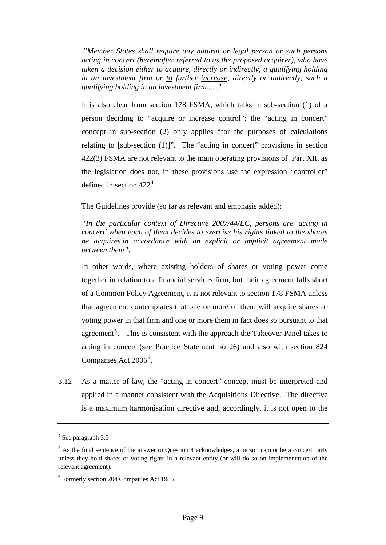"*Member States shall require any natural or legal person or such persons acting in concert (hereinafter referred to as the proposed acquirer), who have taken a decision either to acquire, directly or indirectly, a qualifying holding in an investment firm or to further increase, directly or indirectly, such a qualifying holding in an investment firm......*"

 It is also clear from section 178 FSMA, which talks in sub-section (1) of a person deciding to "acquire or increase control": the "acting in concert" concept in sub-section (2) only applies "for the purposes of calculations relating to  $[sub\text{-section (1)}]$ ". The "acting in concert" provisions in section 422(3) FSMA are not relevant to the main operating provisions of Part XII, as the legislation does not, in these provisions use the expression "controller" defined in section  $422^4$  $422^4$ .

The Guidelines provide (so far as relevant and emphasis added):

*"In the particular context of Directive 2007/44/EC, persons are 'acting in concert' when each of them decides to exercise his rights linked to the shares he acquires in accordance with an explicit or implicit agreement made between them".* 

 In other words, where existing holders of shares or voting power come together in relation to a financial services firm, but their agreement falls short of a Common Policy Agreement, it is not relevant to section 178 FSMA unless that agreement contemplates that one or more of them will acquire shares or voting power in that firm and one or more them in fact does so pursuant to that agreement<sup>[5](#page-8-1)</sup>. This is consistent with the approach the Takeover Panel takes to acting in concert (see Practice Statement no 26) and also with section 824 Companies Act 200[6](#page-8-2)<sup>6</sup>.

3.12 As a matter of law, the "acting in concert" concept must be interpreted and applied in a manner consistent with the Acquisitions Directive. The directive is a maximum harmonisation directive and, accordingly, it is not open to the

<span id="page-8-0"></span><sup>4</sup> See paragraph 3.5

<span id="page-8-1"></span> $<sup>5</sup>$  As the final sentence of the answer to Question 4 acknowledges, a person cannot be a concert party</sup> unless they hold shares or voting rights in a relevant entity (or will do so on implementation of the relevant agreement).

<span id="page-8-2"></span><sup>6</sup> Formerly section 204 Companies Act 1985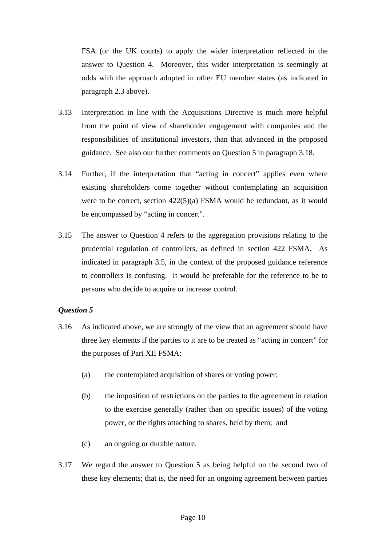FSA (or the UK courts) to apply the wider interpretation reflected in the answer to Question 4. Moreover, this wider interpretation is seemingly at odds with the approach adopted in other EU member states (as indicated in paragraph [2.3](#page-3-0) above).

- 3.13 Interpretation in line with the Acquisitions Directive is much more helpful from the point of view of shareholder engagement with companies and the responsibilities of institutional investors, than that advanced in the proposed guidance. See also our further comments on Question 5 in paragraph [3.18](#page-10-0).
- 3.14 Further, if the interpretation that "acting in concert" applies even where existing shareholders come together without contemplating an acquisition were to be correct, section 422(5)(a) FSMA would be redundant, as it would be encompassed by "acting in concert".
- 3.15 The answer to Question 4 refers to the aggregation provisions relating to the prudential regulation of controllers, as defined in section 422 FSMA. As indicated in paragraph [3.5](#page-5-2), in the context of the proposed guidance reference to controllers is confusing. It would be preferable for the reference to be to persons who decide to acquire or increase control.

- <span id="page-9-0"></span>3.16 As indicated above, we are strongly of the view that an agreement should have three key elements if the parties to it are to be treated as "acting in concert" for the purposes of Part XII FSMA:
	- (a) the contemplated acquisition of shares or voting power;
	- (b) the imposition of restrictions on the parties to the agreement in relation to the exercise generally (rather than on specific issues) of the voting power, or the rights attaching to shares, held by them; and
	- (c) an ongoing or durable nature.
- 3.17 We regard the answer to Question 5 as being helpful on the second two of these key elements; that is, the need for an ongoing agreement between parties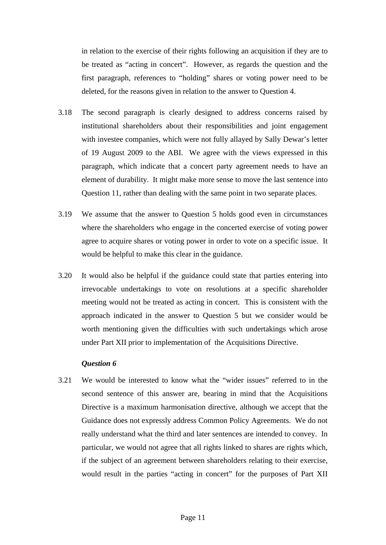in relation to the exercise of their rights following an acquisition if they are to be treated as "acting in concert". However, as regards the question and the first paragraph, references to "holding" shares or voting power need to be deleted, for the reasons given in relation to the answer to Question 4.

- <span id="page-10-0"></span>3.18 The second paragraph is clearly designed to address concerns raised by institutional shareholders about their responsibilities and joint engagement with investee companies, which were not fully allayed by Sally Dewar's letter of 19 August 2009 to the ABI. We agree with the views expressed in this paragraph, which indicate that a concert party agreement needs to have an element of durability. It might make more sense to move the last sentence into Question 11, rather than dealing with the same point in two separate places.
- 3.19 We assume that the answer to Question 5 holds good even in circumstances where the shareholders who engage in the concerted exercise of voting power agree to acquire shares or voting power in order to vote on a specific issue. It would be helpful to make this clear in the guidance.
- 3.20 It would also be helpful if the guidance could state that parties entering into irrevocable undertakings to vote on resolutions at a specific shareholder meeting would not be treated as acting in concert. This is consistent with the approach indicated in the answer to Question 5 but we consider would be worth mentioning given the difficulties with such undertakings which arose under Part XII prior to implementation of the Acquisitions Directive.

## *Question 6*

3.21 We would be interested to know what the "wider issues" referred to in the second sentence of this answer are, bearing in mind that the Acquisitions Directive is a maximum harmonisation directive, although we accept that the Guidance does not expressly address Common Policy Agreements. We do not really understand what the third and later sentences are intended to convey. In particular, we would not agree that all rights linked to shares are rights which, if the subject of an agreement between shareholders relating to their exercise, would result in the parties "acting in concert" for the purposes of Part XII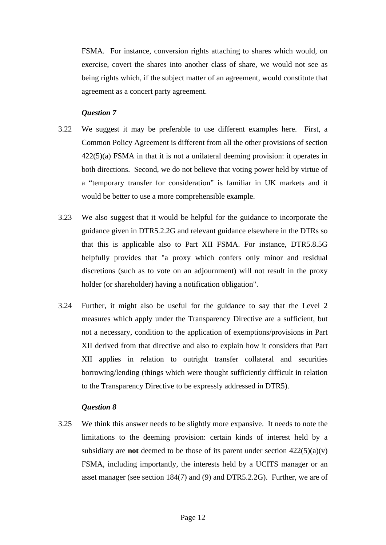FSMA. For instance, conversion rights attaching to shares which would, on exercise, covert the shares into another class of share, we would not see as being rights which, if the subject matter of an agreement, would constitute that agreement as a concert party agreement.

# *Question 7*

- 3.22 We suggest it may be preferable to use different examples here. First, a Common Policy Agreement is different from all the other provisions of section  $422(5)$ (a) FSMA in that it is not a unilateral deeming provision: it operates in both directions. Second, we do not believe that voting power held by virtue of a "temporary transfer for consideration" is familiar in UK markets and it would be better to use a more comprehensible example.
- <span id="page-11-0"></span>3.23 We also suggest that it would be helpful for the guidance to incorporate the guidance given in DTR5.2.2G and relevant guidance elsewhere in the DTRs so that this is applicable also to Part XII FSMA. For instance, DTR5.8.5G helpfully provides that "a proxy which confers only minor and residual discretions (such as to vote on an adjournment) will not result in the proxy holder (or shareholder) having a notification obligation".
- 3.24 Further, it might also be useful for the guidance to say that the Level 2 measures which apply under the Transparency Directive are a sufficient, but not a necessary, condition to the application of exemptions/provisions in Part XII derived from that directive and also to explain how it considers that Part XII applies in relation to outright transfer collateral and securities borrowing/lending (things which were thought sufficiently difficult in relation to the Transparency Directive to be expressly addressed in DTR5).

# *Question 8*

3.25 We think this answer needs to be slightly more expansive. It needs to note the limitations to the deeming provision: certain kinds of interest held by a subsidiary are **not** deemed to be those of its parent under section  $422(5)(a)(v)$ FSMA, including importantly, the interests held by a UCITS manager or an asset manager (see section 184(7) and (9) and DTR5.2.2G). Further, we are of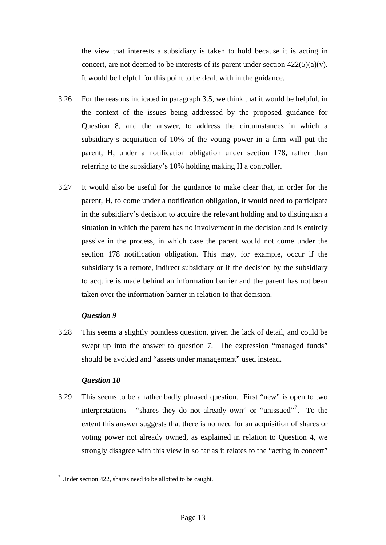the view that interests a subsidiary is taken to hold because it is acting in concert, are not deemed to be interests of its parent under section  $422(5)(a)(v)$ . It would be helpful for this point to be dealt with in the guidance.

- 3.26 For the reasons indicated in paragraph [3.5](#page-5-2), we think that it would be helpful, in the context of the issues being addressed by the proposed guidance for Question 8, and the answer, to address the circumstances in which a subsidiary's acquisition of 10% of the voting power in a firm will put the parent, H, under a notification obligation under section 178, rather than referring to the subsidiary's 10% holding making H a controller.
- 3.27 It would also be useful for the guidance to make clear that, in order for the parent, H, to come under a notification obligation, it would need to participate in the subsidiary's decision to acquire the relevant holding and to distinguish a situation in which the parent has no involvement in the decision and is entirely passive in the process, in which case the parent would not come under the section 178 notification obligation. This may, for example, occur if the subsidiary is a remote, indirect subsidiary or if the decision by the subsidiary to acquire is made behind an information barrier and the parent has not been taken over the information barrier in relation to that decision.

## *Question 9*

3.28 This seems a slightly pointless question, given the lack of detail, and could be swept up into the answer to question 7. The expression "managed funds" should be avoided and "assets under management" used instead.

## *Question 10*

3.29 This seems to be a rather badly phrased question. First "new" is open to two interpretations - "shares they do not already own" or "unissued"<sup>[7](#page-12-0)</sup>. To the extent this answer suggests that there is no need for an acquisition of shares or voting power not already owned, as explained in relation to Question 4, we strongly disagree with this view in so far as it relates to the "acting in concert"

<span id="page-12-0"></span> $7$  Under section 422, shares need to be allotted to be caught.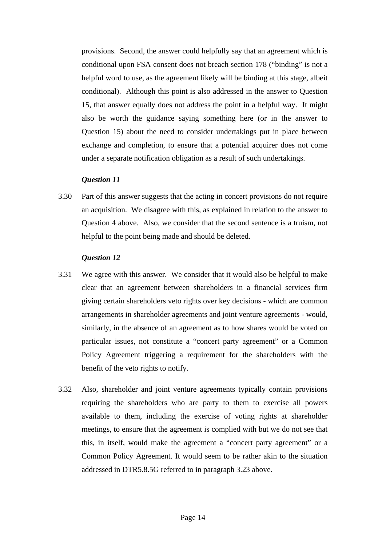provisions. Second, the answer could helpfully say that an agreement which is conditional upon FSA consent does not breach section 178 ("binding" is not a helpful word to use, as the agreement likely will be binding at this stage, albeit conditional). Although this point is also addressed in the answer to Question 15, that answer equally does not address the point in a helpful way. It might also be worth the guidance saying something here (or in the answer to Question 15) about the need to consider undertakings put in place between exchange and completion, to ensure that a potential acquirer does not come under a separate notification obligation as a result of such undertakings.

## *Question 11*

3.30 Part of this answer suggests that the acting in concert provisions do not require an acquisition. We disagree with this, as explained in relation to the answer to Question 4 above. Also, we consider that the second sentence is a truism, not helpful to the point being made and should be deleted.

- <span id="page-13-0"></span>3.31 We agree with this answer. We consider that it would also be helpful to make clear that an agreement between shareholders in a financial services firm giving certain shareholders veto rights over key decisions - which are common arrangements in shareholder agreements and joint venture agreements - would, similarly, in the absence of an agreement as to how shares would be voted on particular issues, not constitute a "concert party agreement" or a Common Policy Agreement triggering a requirement for the shareholders with the benefit of the veto rights to notify.
- 3.32 Also, shareholder and joint venture agreements typically contain provisions requiring the shareholders who are party to them to exercise all powers available to them, including the exercise of voting rights at shareholder meetings, to ensure that the agreement is complied with but we do not see that this, in itself, would make the agreement a "concert party agreement" or a Common Policy Agreement. It would seem to be rather akin to the situation addressed in DTR5.8.5G referred to in paragraph [3.23](#page-11-0) above.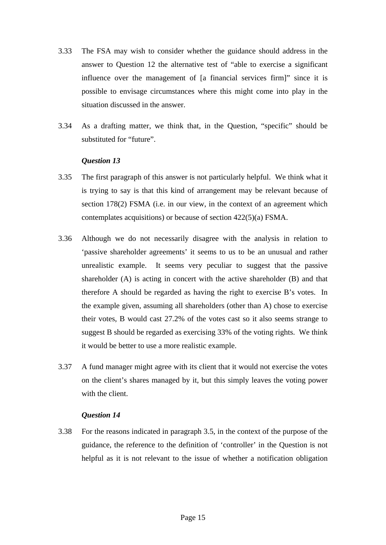- 3.33 The FSA may wish to consider whether the guidance should address in the answer to Question 12 the alternative test of "able to exercise a significant influence over the management of [a financial services firm]" since it is possible to envisage circumstances where this might come into play in the situation discussed in the answer.
- 3.34 As a drafting matter, we think that, in the Question, "specific" should be substituted for "future".

## *Question 13*

- 3.35 The first paragraph of this answer is not particularly helpful. We think what it is trying to say is that this kind of arrangement may be relevant because of section 178(2) FSMA (i.e. in our view, in the context of an agreement which contemplates acquisitions) or because of section 422(5)(a) FSMA.
- 3.36 Although we do not necessarily disagree with the analysis in relation to 'passive shareholder agreements' it seems to us to be an unusual and rather unrealistic example. It seems very peculiar to suggest that the passive shareholder (A) is acting in concert with the active shareholder (B) and that therefore A should be regarded as having the right to exercise B's votes. In the example given, assuming all shareholders (other than A) chose to exercise their votes, B would cast 27.2% of the votes cast so it also seems strange to suggest B should be regarded as exercising 33% of the voting rights. We think it would be better to use a more realistic example.
- 3.37 A fund manager might agree with its client that it would not exercise the votes on the client's shares managed by it, but this simply leaves the voting power with the client.

#### *Question 14*

3.38 For the reasons indicated in paragraph [3.5](#page-5-2), in the context of the purpose of the guidance, the reference to the definition of 'controller' in the Question is not helpful as it is not relevant to the issue of whether a notification obligation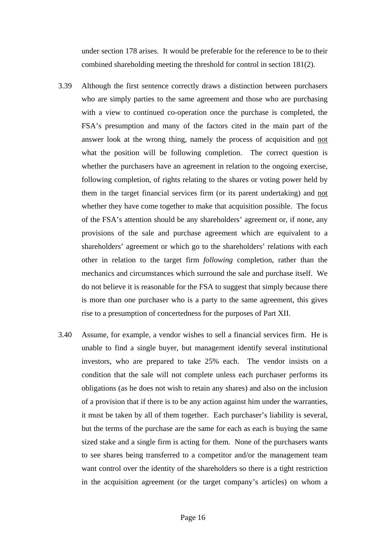under section 178 arises. It would be preferable for the reference to be to their combined shareholding meeting the threshold for control in section 181(2).

- 3.39 Although the first sentence correctly draws a distinction between purchasers who are simply parties to the same agreement and those who are purchasing with a view to continued co-operation once the purchase is completed, the FSA's presumption and many of the factors cited in the main part of the answer look at the wrong thing, namely the process of acquisition and not what the position will be following completion. The correct question is whether the purchasers have an agreement in relation to the ongoing exercise, following completion, of rights relating to the shares or voting power held by them in the target financial services firm (or its parent undertaking) and not whether they have come together to make that acquisition possible. The focus of the FSA's attention should be any shareholders' agreement or, if none, any provisions of the sale and purchase agreement which are equivalent to a shareholders' agreement or which go to the shareholders' relations with each other in relation to the target firm *following* completion, rather than the mechanics and circumstances which surround the sale and purchase itself. We do not believe it is reasonable for the FSA to suggest that simply because there is more than one purchaser who is a party to the same agreement, this gives rise to a presumption of concertedness for the purposes of Part XII.
- 3.40 Assume, for example, a vendor wishes to sell a financial services firm. He is unable to find a single buyer, but management identify several institutional investors, who are prepared to take 25% each. The vendor insists on a condition that the sale will not complete unless each purchaser performs its obligations (as he does not wish to retain any shares) and also on the inclusion of a provision that if there is to be any action against him under the warranties, it must be taken by all of them together. Each purchaser's liability is several, but the terms of the purchase are the same for each as each is buying the same sized stake and a single firm is acting for them. None of the purchasers wants to see shares being transferred to a competitor and/or the management team want control over the identity of the shareholders so there is a tight restriction in the acquisition agreement (or the target company's articles) on whom a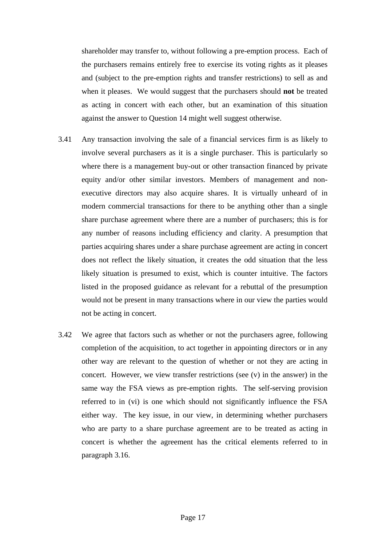shareholder may transfer to, without following a pre-emption process. Each of the purchasers remains entirely free to exercise its voting rights as it pleases and (subject to the pre-emption rights and transfer restrictions) to sell as and when it pleases. We would suggest that the purchasers should **not** be treated as acting in concert with each other, but an examination of this situation against the answer to Question 14 might well suggest otherwise.

- 3.41 Any transaction involving the sale of a financial services firm is as likely to involve several purchasers as it is a single purchaser. This is particularly so where there is a management buy-out or other transaction financed by private equity and/or other similar investors. Members of management and nonexecutive directors may also acquire shares. It is virtually unheard of in modern commercial transactions for there to be anything other than a single share purchase agreement where there are a number of purchasers; this is for any number of reasons including efficiency and clarity. A presumption that parties acquiring shares under a share purchase agreement are acting in concert does not reflect the likely situation, it creates the odd situation that the less likely situation is presumed to exist, which is counter intuitive. The factors listed in the proposed guidance as relevant for a rebuttal of the presumption would not be present in many transactions where in our view the parties would not be acting in concert.
- 3.42 We agree that factors such as whether or not the purchasers agree, following completion of the acquisition, to act together in appointing directors or in any other way are relevant to the question of whether or not they are acting in concert. However, we view transfer restrictions (see  $(v)$ ) in the answer) in the same way the FSA views as pre-emption rights. The self-serving provision referred to in (vi) is one which should not significantly influence the FSA either way. The key issue, in our view, in determining whether purchasers who are party to a share purchase agreement are to be treated as acting in concert is whether the agreement has the critical elements referred to in paragraph [3.16.](#page-9-0)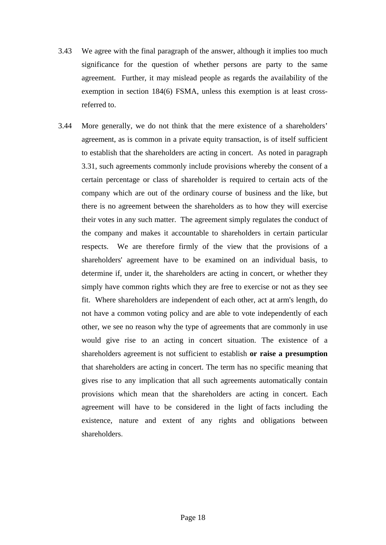- 3.43 We agree with the final paragraph of the answer, although it implies too much significance for the question of whether persons are party to the same agreement. Further, it may mislead people as regards the availability of the exemption in section 184(6) FSMA, unless this exemption is at least crossreferred to.
- 3.44 More generally, we do not think that the mere existence of a shareholders' agreement, as is common in a private equity transaction, is of itself sufficient to establish that the shareholders are acting in concert. As noted in paragraph [3.31,](#page-13-0) such agreements commonly include provisions whereby the consent of a certain percentage or class of shareholder is required to certain acts of the company which are out of the ordinary course of business and the like, but there is no agreement between the shareholders as to how they will exercise their votes in any such matter. The agreement simply regulates the conduct of the company and makes it accountable to shareholders in certain particular respects. We are therefore firmly of the view that the provisions of a shareholders' agreement have to be examined on an individual basis, to determine if, under it, the shareholders are acting in concert, or whether they simply have common rights which they are free to exercise or not as they see fit. Where shareholders are independent of each other, act at arm's length, do not have a common voting policy and are able to vote independently of each other, we see no reason why the type of agreements that are commonly in use would give rise to an acting in concert situation. The existence of a shareholders agreement is not sufficient to establish **or raise a presumption**  that shareholders are acting in concert. The term has no specific meaning that gives rise to any implication that all such agreements automatically contain provisions which mean that the shareholders are acting in concert. Each agreement will have to be considered in the light of facts including the existence, nature and extent of any rights and obligations between shareholders.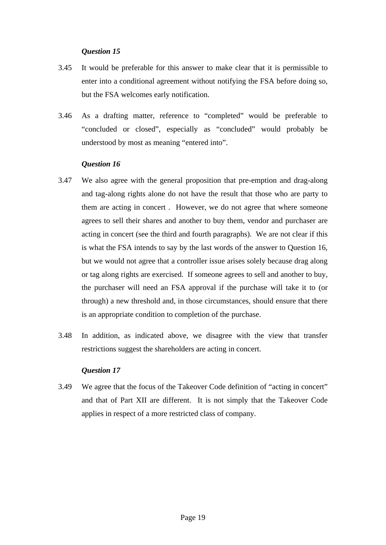# *Question 15*

- 3.45 It would be preferable for this answer to make clear that it is permissible to enter into a conditional agreement without notifying the FSA before doing so, but the FSA welcomes early notification.
- 3.46 As a drafting matter, reference to "completed" would be preferable to "concluded or closed", especially as "concluded" would probably be understood by most as meaning "entered into".

# *Question 16*

- 3.47 We also agree with the general proposition that pre-emption and drag-along and tag-along rights alone do not have the result that those who are party to them are acting in concert . However, we do not agree that where someone agrees to sell their shares and another to buy them, vendor and purchaser are acting in concert (see the third and fourth paragraphs). We are not clear if this is what the FSA intends to say by the last words of the answer to Question 16, but we would not agree that a controller issue arises solely because drag along or tag along rights are exercised. If someone agrees to sell and another to buy, the purchaser will need an FSA approval if the purchase will take it to (or through) a new threshold and, in those circumstances, should ensure that there is an appropriate condition to completion of the purchase.
- 3.48 In addition, as indicated above, we disagree with the view that transfer restrictions suggest the shareholders are acting in concert.

## *Question 17*

3.49 We agree that the focus of the Takeover Code definition of "acting in concert" and that of Part XII are different. It is not simply that the Takeover Code applies in respect of a more restricted class of company.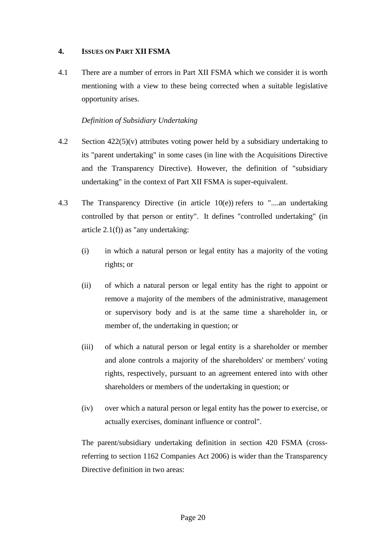# **4. ISSUES ON PART XII FSMA**

4.1 There are a number of errors in Part XII FSMA which we consider it is worth mentioning with a view to these being corrected when a suitable legislative opportunity arises.

# *Definition of Subsidiary Undertaking*

- 4.2 Section  $422(5)(v)$  attributes voting power held by a subsidiary undertaking to its "parent undertaking" in some cases (in line with the Acquisitions Directive and the Transparency Directive). However, the definition of "subsidiary undertaking" in the context of Part XII FSMA is super-equivalent.
- <span id="page-19-0"></span>4.3 The Transparency Directive (in article 10(e)) refers to "....an undertaking controlled by that person or entity". It defines "controlled undertaking" (in article  $2.1(f)$ ) as "any undertaking:
	- (i) in which a natural person or legal entity has a majority of the voting rights; or
	- (ii) of which a natural person or legal entity has the right to appoint or remove a majority of the members of the administrative, management or supervisory body and is at the same time a shareholder in, or member of, the undertaking in question; or
	- (iii) of which a natural person or legal entity is a shareholder or member and alone controls a majority of the shareholders' or members' voting rights, respectively, pursuant to an agreement entered into with other shareholders or members of the undertaking in question; or
	- (iv) over which a natural person or legal entity has the power to exercise, or actually exercises, dominant influence or control".

The parent/subsidiary undertaking definition in section 420 FSMA (crossreferring to section 1162 Companies Act 2006) is wider than the Transparency Directive definition in two areas: